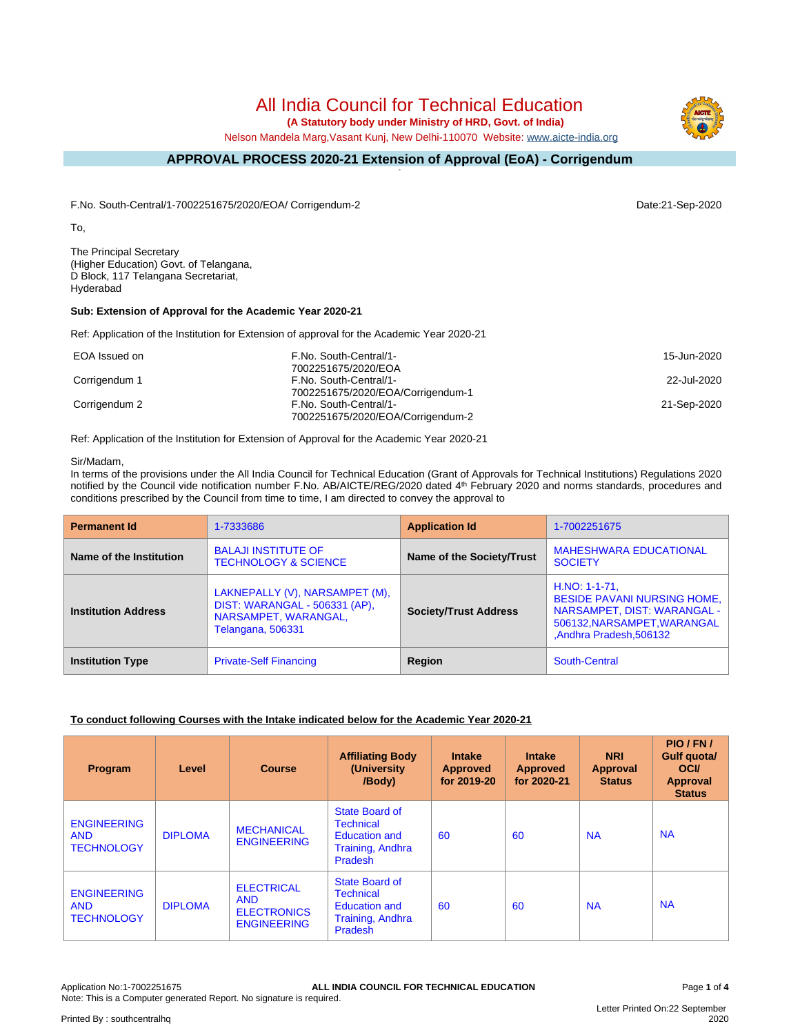# All India Council for Technical Education

 **(A Statutory body under Ministry of HRD, Govt. of India)**

Nelson Mandela Marg,Vasant Kunj, New Delhi-110070 Website: [www.aicte-india.org](http://www.aicte-india.org)

#### **APPROVAL PROCESS 2020-21 Extension of Approval (EoA) - Corrigendum -**

F.No. South-Central/1-7002251675/2020/EOA/ Corrigendum-2 Date:21-Sep-2020

To,

The Principal Secretary (Higher Education) Govt. of Telangana, D Block, 117 Telangana Secretariat, Hyderabad

### **Sub: Extension of Approval for the Academic Year 2020-21**

Ref: Application of the Institution for Extension of approval for the Academic Year 2020-21

| EOA Issued on | F.No. South-Central/1-<br>7002251675/2020/EOA               | 15-Jun-2020 |
|---------------|-------------------------------------------------------------|-------------|
| Corrigendum 1 | F.No. South-Central/1-                                      | 22-Jul-2020 |
|               | 7002251675/2020/EOA/Corrigendum-1                           |             |
| Corrigendum 2 | F.No. South-Central/1-<br>7002251675/2020/EOA/Corrigendum-2 | 21-Sep-2020 |

Ref: Application of the Institution for Extension of Approval for the Academic Year 2020-21

#### Sir/Madam,

In terms of the provisions under the All India Council for Technical Education (Grant of Approvals for Technical Institutions) Regulations 2020 notified by the Council vide notification number F.No. AB/AICTE/REG/2020 dated 4<sup>th</sup> February 2020 and norms standards, procedures and conditions prescribed by the Council from time to time, I am directed to convey the approval to

| <b>Permanent Id</b>        | 1-7333686                                                                                                    | <b>Application Id</b>        | 1-7002251675                                                                                                                                   |
|----------------------------|--------------------------------------------------------------------------------------------------------------|------------------------------|------------------------------------------------------------------------------------------------------------------------------------------------|
| Name of the Institution    | <b>BALAJI INSTITUTE OF</b><br><b>TECHNOLOGY &amp; SCIENCE</b>                                                | Name of the Society/Trust    | <b>MAHESHWARA EDUCATIONAL</b><br><b>SOCIETY</b>                                                                                                |
| <b>Institution Address</b> | LAKNEPALLY (V), NARSAMPET (M),<br>DIST: WARANGAL - 506331 (AP),<br>NARSAMPET, WARANGAL,<br>Telangana, 506331 | <b>Society/Trust Address</b> | $H.NO: 1-1-71$ ,<br><b>BESIDE PAVANI NURSING HOME,</b><br>NARSAMPET, DIST: WARANGAL -<br>506132, NARSAMPET, WARANGAL<br>Andhra Pradesh, 506132 |
| <b>Institution Type</b>    | <b>Private-Self Financing</b>                                                                                | <b>Region</b>                | South-Central                                                                                                                                  |

#### **To conduct following Courses with the Intake indicated below for the Academic Year 2020-21**

| Program                                               | Level          | <b>Course</b>                                                               | <b>Affiliating Body</b><br>(University<br>/Body)                                                        | <b>Intake</b><br><b>Approved</b><br>for 2019-20 | <b>Intake</b><br><b>Approved</b><br>for 2020-21 | <b>NRI</b><br><b>Approval</b><br><b>Status</b> | PIO/FN/<br>Gulf quota/<br><b>OCI</b><br>Approval<br><b>Status</b> |
|-------------------------------------------------------|----------------|-----------------------------------------------------------------------------|---------------------------------------------------------------------------------------------------------|-------------------------------------------------|-------------------------------------------------|------------------------------------------------|-------------------------------------------------------------------|
| <b>ENGINEERING</b><br><b>AND</b><br><b>TECHNOLOGY</b> | <b>DIPLOMA</b> | <b>MECHANICAL</b><br><b>ENGINEERING</b>                                     | State Board of<br><b>Technical</b><br><b>Education and</b><br><b>Training, Andhra</b><br>Pradesh        | 60                                              | 60                                              | <b>NA</b>                                      | <b>NA</b>                                                         |
| <b>ENGINEERING</b><br><b>AND</b><br><b>TECHNOLOGY</b> | <b>DIPLOMA</b> | <b>ELECTRICAL</b><br><b>AND</b><br><b>ELECTRONICS</b><br><b>ENGINEERING</b> | State Board of<br><b>Technical</b><br><b>Education and</b><br><b>Training, Andhra</b><br><b>Pradesh</b> | 60                                              | 60                                              | <b>NA</b>                                      | <b>NA</b>                                                         |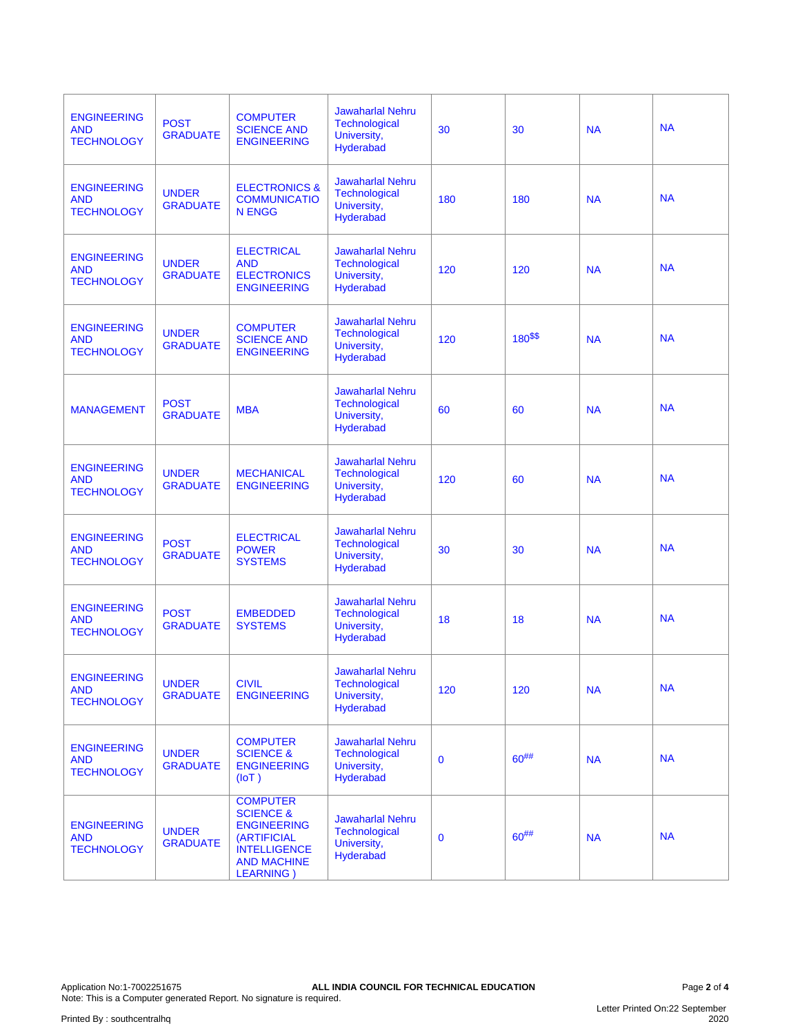| <b>ENGINEERING</b><br><b>AND</b><br><b>TECHNOLOGY</b> | <b>POST</b><br><b>GRADUATE</b>  | <b>COMPUTER</b><br><b>SCIENCE AND</b><br><b>ENGINEERING</b>                                                                                           | <b>Jawaharlal Nehru</b><br>Technological<br>University,<br>Hyderabad        | 30          | 30         | <b>NA</b> | <b>NA</b> |
|-------------------------------------------------------|---------------------------------|-------------------------------------------------------------------------------------------------------------------------------------------------------|-----------------------------------------------------------------------------|-------------|------------|-----------|-----------|
| <b>ENGINEERING</b><br><b>AND</b><br><b>TECHNOLOGY</b> | <b>UNDER</b><br><b>GRADUATE</b> | <b>ELECTRONICS &amp;</b><br><b>COMMUNICATIO</b><br><b>N ENGG</b>                                                                                      | <b>Jawaharlal Nehru</b><br><b>Technological</b><br>University,<br>Hyderabad | 180         | 180        | <b>NA</b> | <b>NA</b> |
| <b>ENGINEERING</b><br><b>AND</b><br><b>TECHNOLOGY</b> | <b>UNDER</b><br><b>GRADUATE</b> | <b>ELECTRICAL</b><br><b>AND</b><br><b>ELECTRONICS</b><br><b>ENGINEERING</b>                                                                           | <b>Jawaharlal Nehru</b><br>Technological<br>University,<br>Hyderabad        | 120         | 120        | <b>NA</b> | <b>NA</b> |
| <b>ENGINEERING</b><br><b>AND</b><br><b>TECHNOLOGY</b> | <b>UNDER</b><br><b>GRADUATE</b> | <b>COMPUTER</b><br><b>SCIENCE AND</b><br><b>ENGINEERING</b>                                                                                           | <b>Jawaharlal Nehru</b><br>Technological<br>University,<br>Hyderabad        | 120         | $180^{55}$ | <b>NA</b> | <b>NA</b> |
| <b>MANAGEMENT</b>                                     | <b>POST</b><br><b>GRADUATE</b>  | <b>MBA</b>                                                                                                                                            | <b>Jawaharlal Nehru</b><br>Technological<br>University,<br><b>Hyderabad</b> | 60          | 60         | <b>NA</b> | <b>NA</b> |
| <b>ENGINEERING</b><br>AND<br><b>TECHNOLOGY</b>        | <b>UNDER</b><br><b>GRADUATE</b> | <b>MECHANICAL</b><br><b>ENGINEERING</b>                                                                                                               | <b>Jawaharlal Nehru</b><br>Technological<br>University,<br>Hyderabad        | 120         | 60         | <b>NA</b> | <b>NA</b> |
| <b>ENGINEERING</b><br><b>AND</b><br><b>TECHNOLOGY</b> | <b>POST</b><br><b>GRADUATE</b>  | <b>ELECTRICAL</b><br><b>POWER</b><br><b>SYSTEMS</b>                                                                                                   | <b>Jawaharlal Nehru</b><br>Technological<br>University,<br>Hyderabad        | 30          | 30         | <b>NA</b> | <b>NA</b> |
| <b>ENGINEERING</b><br><b>AND</b><br><b>TECHNOLOGY</b> | <b>POST</b><br><b>GRADUATE</b>  | <b>EMBEDDED</b><br><b>SYSTEMS</b>                                                                                                                     | <b>Jawaharlal Nehru</b><br>Technological<br>University,<br>Hyderabad        | 18          | 18         | <b>NA</b> | <b>NA</b> |
| <b>ENGINEERING</b><br><b>AND</b><br><b>TECHNOLOGY</b> | <b>UNDER</b><br><b>GRADUATE</b> | <b>CIVIL</b><br><b>ENGINEERING</b>                                                                                                                    | <b>Jawaharlal Nehru</b><br><b>Technological</b><br>University,<br>Hyderabad | 120         | 120        | <b>NA</b> | <b>NA</b> |
| <b>ENGINEERING</b><br><b>AND</b><br><b>TECHNOLOGY</b> | <b>UNDER</b><br><b>GRADUATE</b> | <b>COMPUTER</b><br><b>SCIENCE &amp;</b><br><b>ENGINEERING</b><br>(IOT)                                                                                | <b>Jawaharlal Nehru</b><br><b>Technological</b><br>University,<br>Hyderabad | $\bf{0}$    | $60^{#}\%$ | <b>NA</b> | <b>NA</b> |
| <b>ENGINEERING</b><br><b>AND</b><br><b>TECHNOLOGY</b> | <b>UNDER</b><br><b>GRADUATE</b> | <b>COMPUTER</b><br><b>SCIENCE &amp;</b><br><b>ENGINEERING</b><br><b>(ARTIFICIAL</b><br><b>INTELLIGENCE</b><br><b>AND MACHINE</b><br><b>LEARNING</b> ) | <b>Jawaharlal Nehru</b><br><b>Technological</b><br>University,<br>Hyderabad | $\mathbf 0$ | $60^{#}\%$ | <b>NA</b> | <b>NA</b> |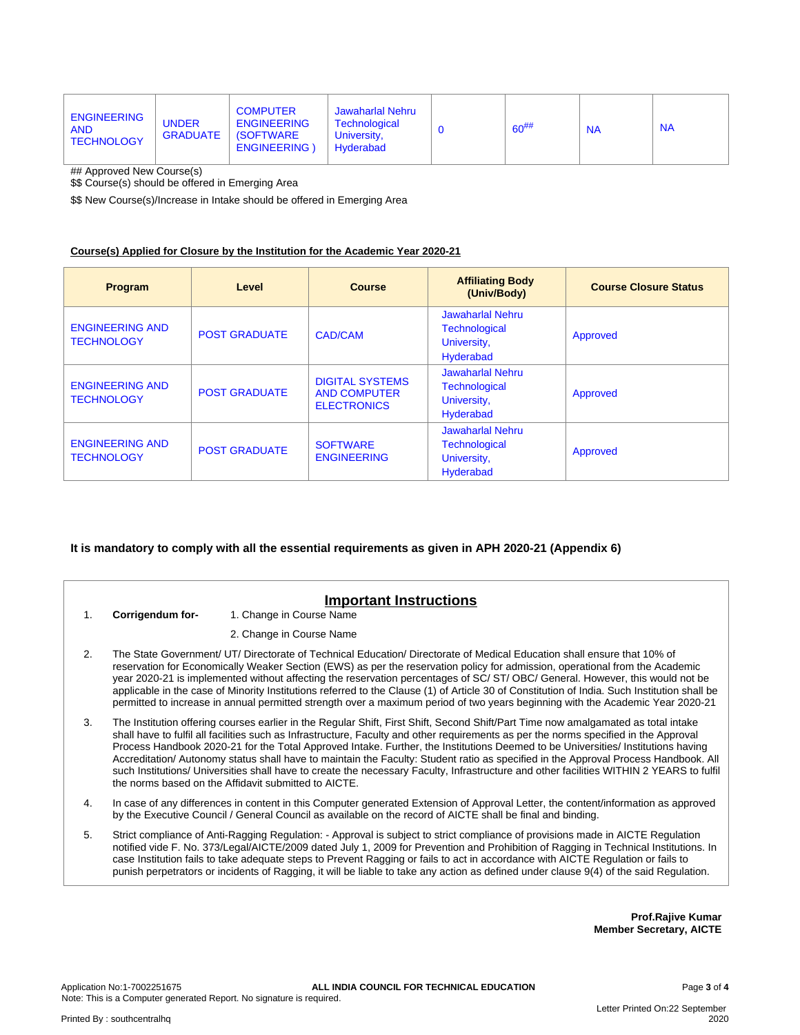| <b>ENGINEERING</b><br><b>AND</b><br><b>TECHNOLOGY</b> | <b>UNDER</b><br>GRADUATE | <b>COMPUTER</b><br><b>ENGINEERING</b><br>  (SOFTWARE)<br><b>ENGINEERING</b> | Jawaharlal Nehru<br><b>Technological</b><br>University.<br>Hyderabad | $60^{#}$ | <b>NA</b> | <b>NA</b> |
|-------------------------------------------------------|--------------------------|-----------------------------------------------------------------------------|----------------------------------------------------------------------|----------|-----------|-----------|
|                                                       |                          |                                                                             |                                                                      |          |           |           |

## Approved New Course(s)

\$\$ Course(s) should be offered in Emerging Area

\$\$ New Course(s)/Increase in Intake should be offered in Emerging Area

#### **Course(s) Applied for Closure by the Institution for the Academic Year 2020-21**

| Program                                     | Level                | <b>Course</b>                                                       | <b>Affiliating Body</b><br>(Univ/Body)                                      | <b>Course Closure Status</b> |
|---------------------------------------------|----------------------|---------------------------------------------------------------------|-----------------------------------------------------------------------------|------------------------------|
| <b>ENGINEERING AND</b><br><b>TECHNOLOGY</b> | <b>POST GRADUATE</b> | <b>CAD/CAM</b>                                                      | Jawaharlal Nehru<br>Technological<br>University,<br>Hyderabad               | Approved                     |
| <b>ENGINEERING AND</b><br><b>TECHNOLOGY</b> | <b>POST GRADUATE</b> | <b>DIGITAL SYSTEMS</b><br><b>AND COMPUTER</b><br><b>ELECTRONICS</b> | Jawaharlal Nehru<br>Technological<br>University,<br>Hyderabad               | Approved                     |
| <b>ENGINEERING AND</b><br><b>TECHNOLOGY</b> | <b>POST GRADUATE</b> | <b>SOFTWARE</b><br><b>ENGINEERING</b>                               | <b>Jawaharlal Nehru</b><br>Technological<br>University,<br><b>Hyderabad</b> | Approved                     |

#### **It is mandatory to comply with all the essential requirements as given in APH 2020-21 (Appendix 6)**

## **Important Instructions**

1. **Corrigendum for-** 1. Change in Course Name

2. Change in Course Name

- 2. The State Government/ UT/ Directorate of Technical Education/ Directorate of Medical Education shall ensure that 10% of reservation for Economically Weaker Section (EWS) as per the reservation policy for admission, operational from the Academic year 2020-21 is implemented without affecting the reservation percentages of SC/ ST/ OBC/ General. However, this would not be applicable in the case of Minority Institutions referred to the Clause (1) of Article 30 of Constitution of India. Such Institution shall be permitted to increase in annual permitted strength over a maximum period of two years beginning with the Academic Year 2020-21
- 3. The Institution offering courses earlier in the Regular Shift, First Shift, Second Shift/Part Time now amalgamated as total intake shall have to fulfil all facilities such as Infrastructure, Faculty and other requirements as per the norms specified in the Approval Process Handbook 2020-21 for the Total Approved Intake. Further, the Institutions Deemed to be Universities/ Institutions having Accreditation/ Autonomy status shall have to maintain the Faculty: Student ratio as specified in the Approval Process Handbook. All such Institutions/ Universities shall have to create the necessary Faculty, Infrastructure and other facilities WITHIN 2 YEARS to fulfil the norms based on the Affidavit submitted to AICTE.
- 4. In case of any differences in content in this Computer generated Extension of Approval Letter, the content/information as approved by the Executive Council / General Council as available on the record of AICTE shall be final and binding.
- 5. Strict compliance of Anti-Ragging Regulation: Approval is subject to strict compliance of provisions made in AICTE Regulation notified vide F. No. 373/Legal/AICTE/2009 dated July 1, 2009 for Prevention and Prohibition of Ragging in Technical Institutions. In case Institution fails to take adequate steps to Prevent Ragging or fails to act in accordance with AICTE Regulation or fails to punish perpetrators or incidents of Ragging, it will be liable to take any action as defined under clause 9(4) of the said Regulation.

**Prof.Rajive Kumar Member Secretary, AICTE**